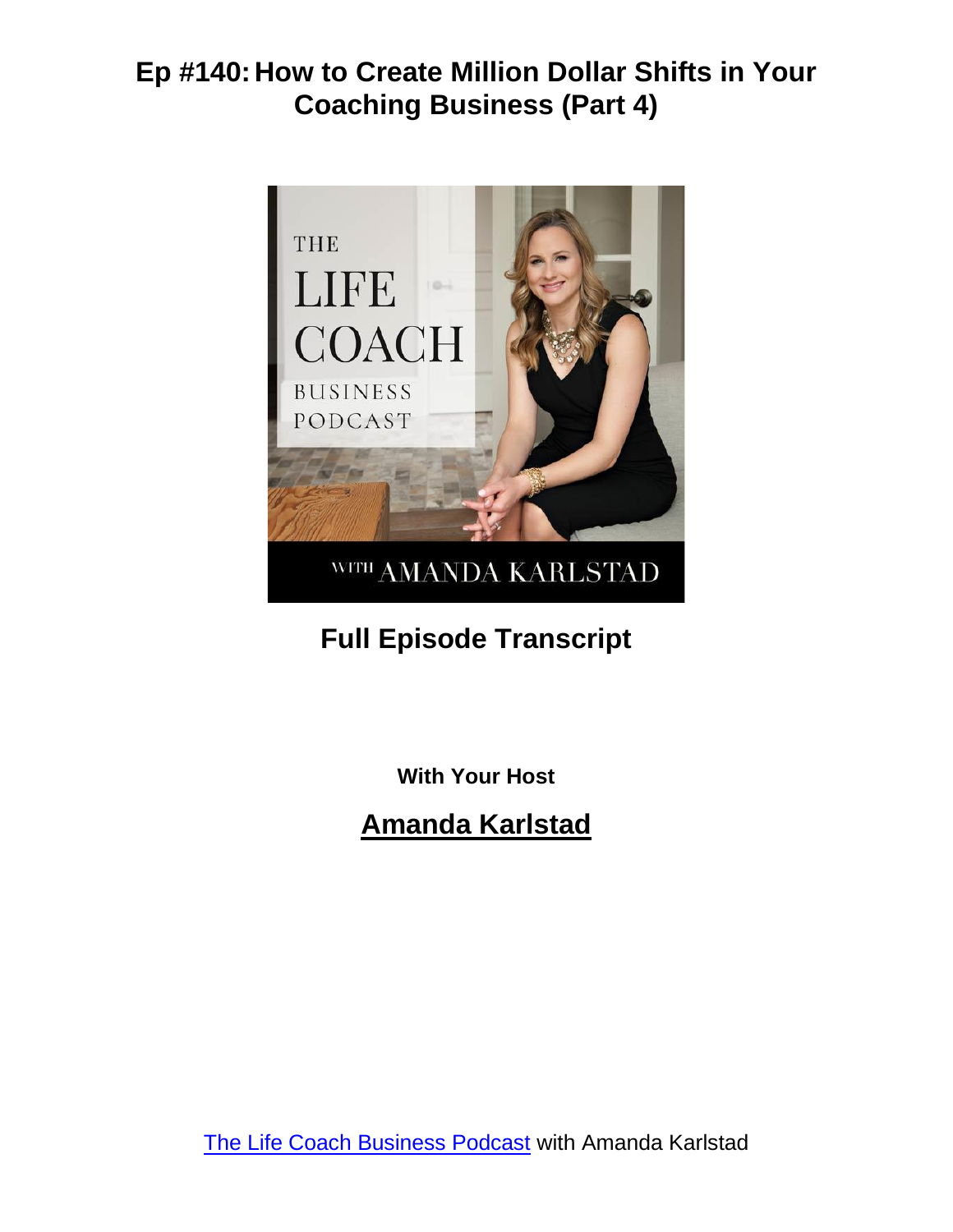

# **Full Episode Transcript**

**With Your Host**

**Amanda Karlstad**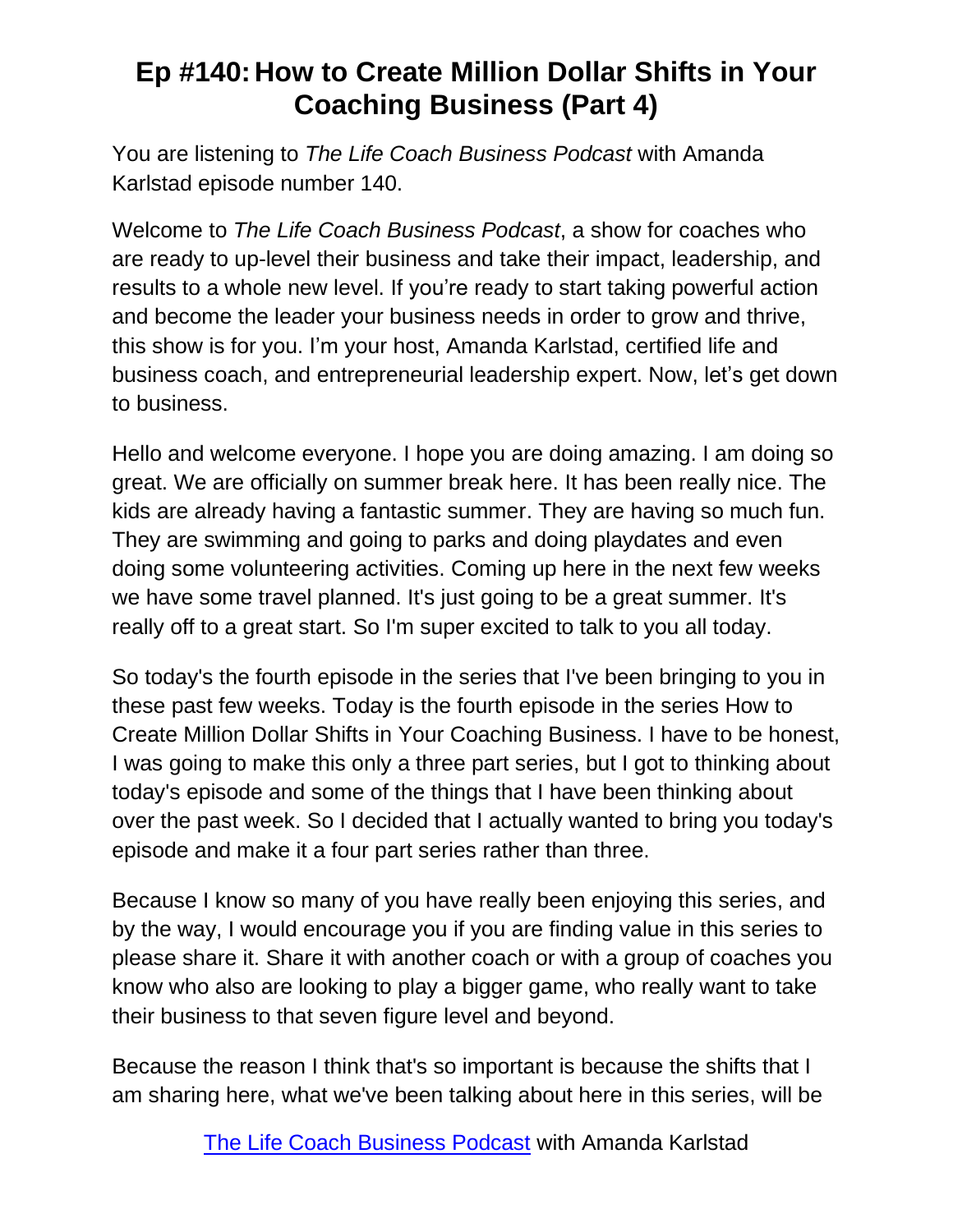You are listening to *The Life Coach Business Podcast* with Amanda Karlstad episode number 140.

Welcome to *The Life Coach Business Podcast*, a show for coaches who are ready to up-level their business and take their impact, leadership, and results to a whole new level. If you're ready to start taking powerful action and become the leader your business needs in order to grow and thrive, this show is for you. I'm your host, Amanda Karlstad, certified life and business coach, and entrepreneurial leadership expert. Now, let's get down to business.

Hello and welcome everyone. I hope you are doing amazing. I am doing so great. We are officially on summer break here. It has been really nice. The kids are already having a fantastic summer. They are having so much fun. They are swimming and going to parks and doing playdates and even doing some volunteering activities. Coming up here in the next few weeks we have some travel planned. It's just going to be a great summer. It's really off to a great start. So I'm super excited to talk to you all today.

So today's the fourth episode in the series that I've been bringing to you in these past few weeks. Today is the fourth episode in the series How to Create Million Dollar Shifts in Your Coaching Business. I have to be honest, I was going to make this only a three part series, but I got to thinking about today's episode and some of the things that I have been thinking about over the past week. So I decided that I actually wanted to bring you today's episode and make it a four part series rather than three.

Because I know so many of you have really been enjoying this series, and by the way, I would encourage you if you are finding value in this series to please share it. Share it with another coach or with a group of coaches you know who also are looking to play a bigger game, who really want to take their business to that seven figure level and beyond.

Because the reason I think that's so important is because the shifts that I am sharing here, what we've been talking about here in this series, will be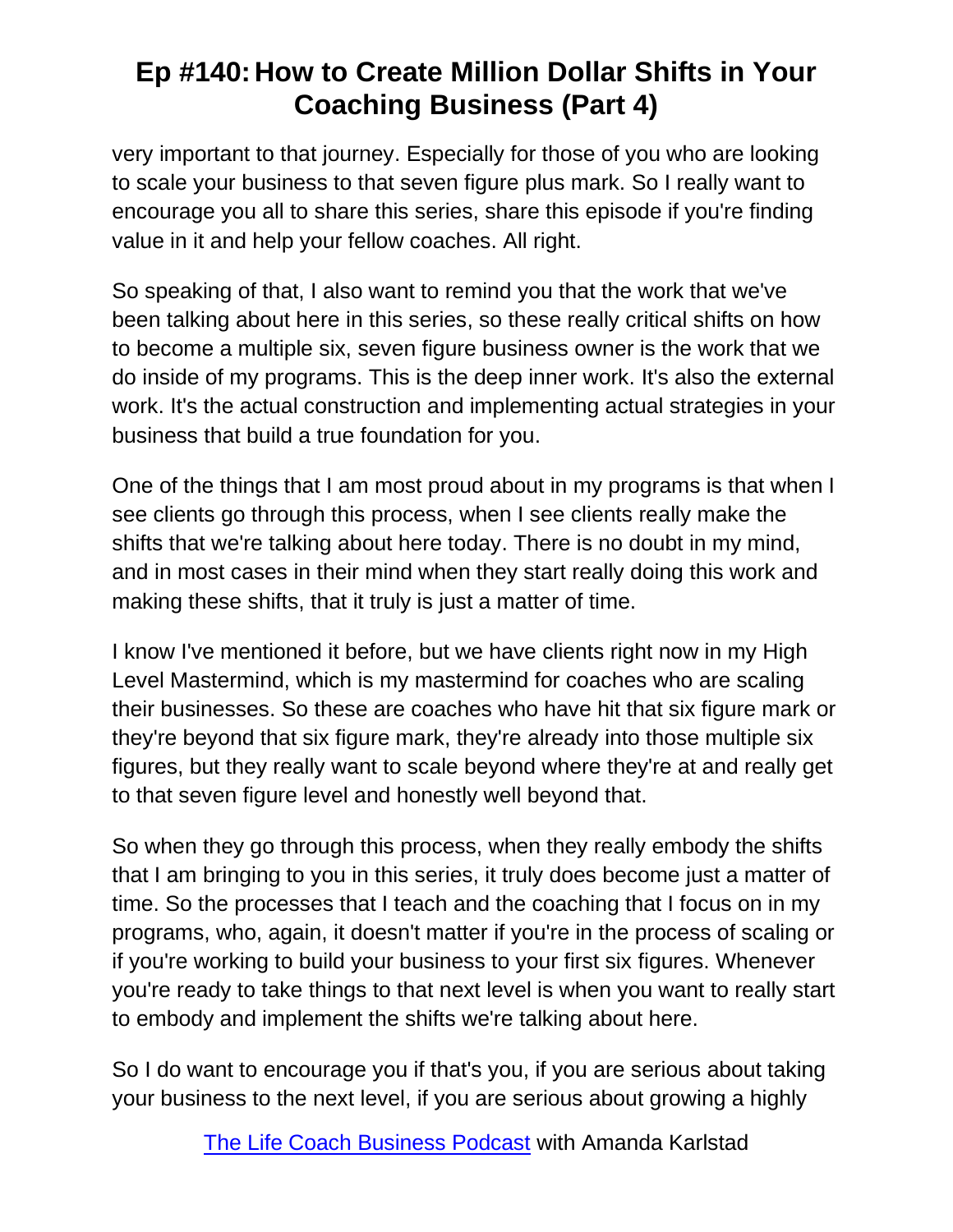very important to that journey. Especially for those of you who are looking to scale your business to that seven figure plus mark. So I really want to encourage you all to share this series, share this episode if you're finding value in it and help your fellow coaches. All right.

So speaking of that, I also want to remind you that the work that we've been talking about here in this series, so these really critical shifts on how to become a multiple six, seven figure business owner is the work that we do inside of my programs. This is the deep inner work. It's also the external work. It's the actual construction and implementing actual strategies in your business that build a true foundation for you.

One of the things that I am most proud about in my programs is that when I see clients go through this process, when I see clients really make the shifts that we're talking about here today. There is no doubt in my mind, and in most cases in their mind when they start really doing this work and making these shifts, that it truly is just a matter of time.

I know I've mentioned it before, but we have clients right now in my High Level Mastermind, which is my mastermind for coaches who are scaling their businesses. So these are coaches who have hit that six figure mark or they're beyond that six figure mark, they're already into those multiple six figures, but they really want to scale beyond where they're at and really get to that seven figure level and honestly well beyond that.

So when they go through this process, when they really embody the shifts that I am bringing to you in this series, it truly does become just a matter of time. So the processes that I teach and the coaching that I focus on in my programs, who, again, it doesn't matter if you're in the process of scaling or if you're working to build your business to your first six figures. Whenever you're ready to take things to that next level is when you want to really start to embody and implement the shifts we're talking about here.

So I do want to encourage you if that's you, if you are serious about taking your business to the next level, if you are serious about growing a highly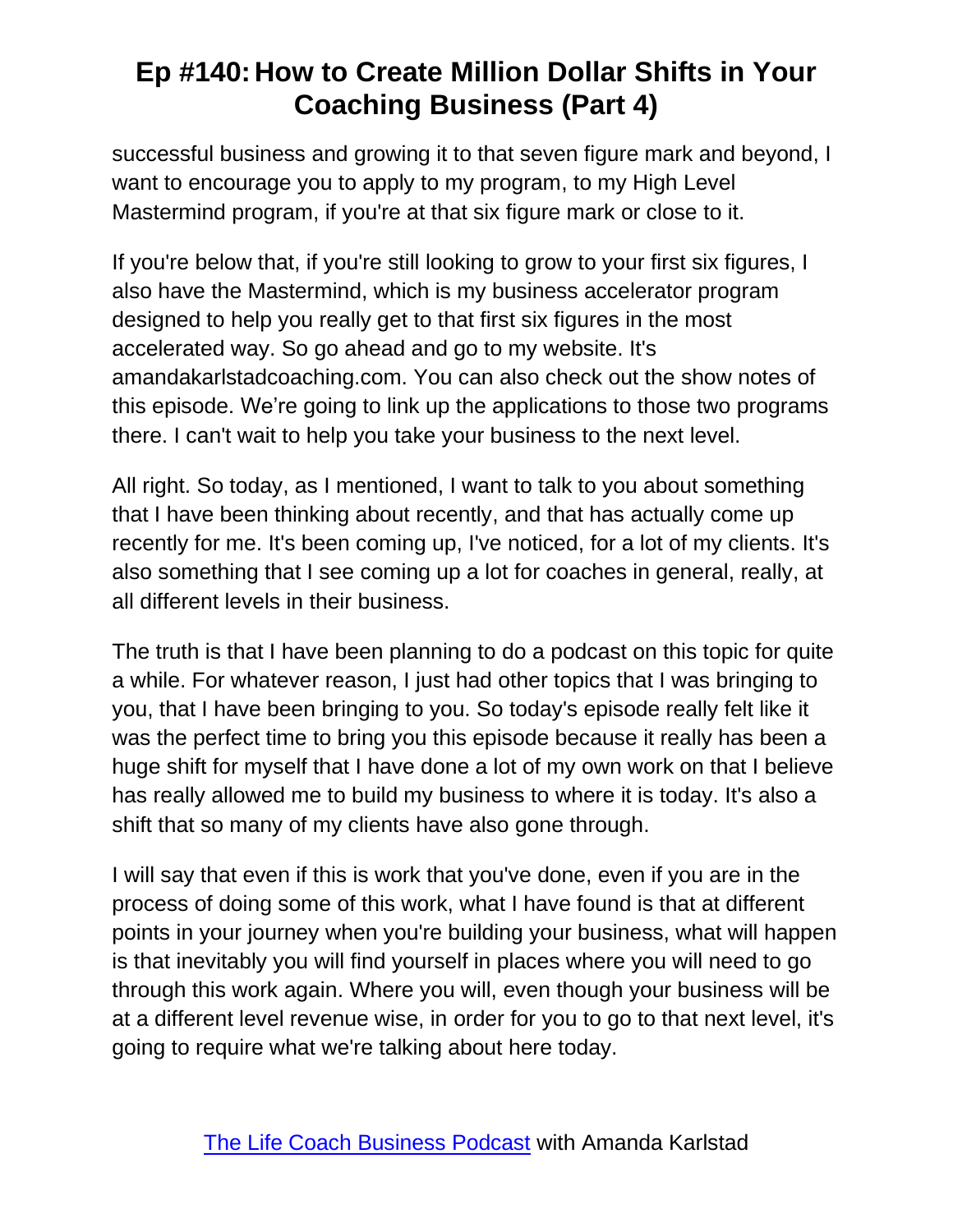successful business and growing it to that seven figure mark and beyond, I want to encourage you to apply to my program, to my High Level Mastermind program, if you're at that six figure mark or close to it.

If you're below that, if you're still looking to grow to your first six figures, I also have the Mastermind, which is my business accelerator program designed to help you really get to that first six figures in the most accelerated way. So go ahead and go to my website. It's amandakarlstadcoaching.com. You can also check out the show notes of this episode. We're going to link up the applications to those two programs there. I can't wait to help you take your business to the next level.

All right. So today, as I mentioned, I want to talk to you about something that I have been thinking about recently, and that has actually come up recently for me. It's been coming up, I've noticed, for a lot of my clients. It's also something that I see coming up a lot for coaches in general, really, at all different levels in their business.

The truth is that I have been planning to do a podcast on this topic for quite a while. For whatever reason, I just had other topics that I was bringing to you, that I have been bringing to you. So today's episode really felt like it was the perfect time to bring you this episode because it really has been a huge shift for myself that I have done a lot of my own work on that I believe has really allowed me to build my business to where it is today. It's also a shift that so many of my clients have also gone through.

I will say that even if this is work that you've done, even if you are in the process of doing some of this work, what I have found is that at different points in your journey when you're building your business, what will happen is that inevitably you will find yourself in places where you will need to go through this work again. Where you will, even though your business will be at a different level revenue wise, in order for you to go to that next level, it's going to require what we're talking about here today.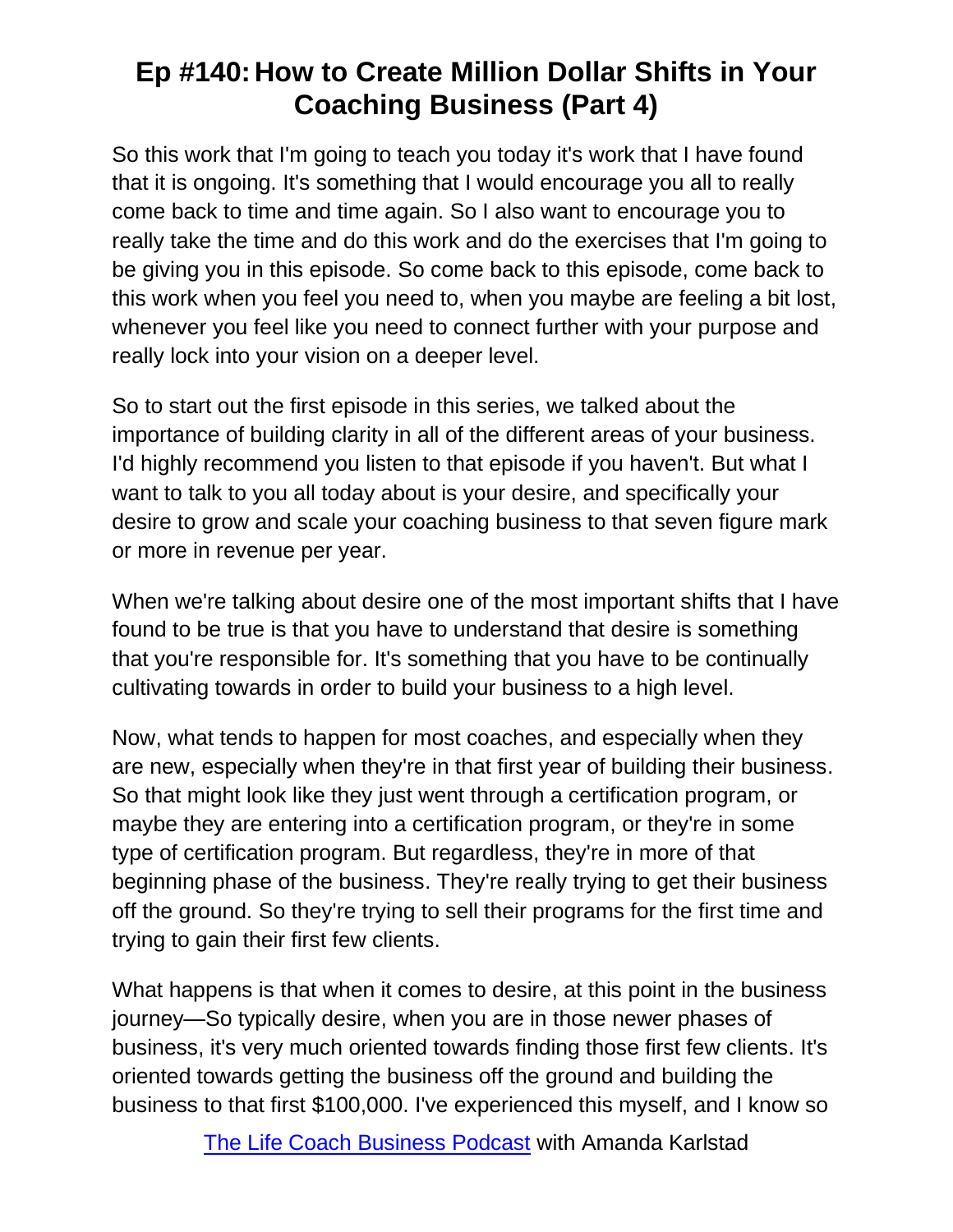So this work that I'm going to teach you today it's work that I have found that it is ongoing. It's something that I would encourage you all to really come back to time and time again. So I also want to encourage you to really take the time and do this work and do the exercises that I'm going to be giving you in this episode. So come back to this episode, come back to this work when you feel you need to, when you maybe are feeling a bit lost, whenever you feel like you need to connect further with your purpose and really lock into your vision on a deeper level.

So to start out the first episode in this series, we talked about the importance of building clarity in all of the different areas of your business. I'd highly recommend you listen to that episode if you haven't. But what I want to talk to you all today about is your desire, and specifically your desire to grow and scale your coaching business to that seven figure mark or more in revenue per year.

When we're talking about desire one of the most important shifts that I have found to be true is that you have to understand that desire is something that you're responsible for. It's something that you have to be continually cultivating towards in order to build your business to a high level.

Now, what tends to happen for most coaches, and especially when they are new, especially when they're in that first year of building their business. So that might look like they just went through a certification program, or maybe they are entering into a certification program, or they're in some type of certification program. But regardless, they're in more of that beginning phase of the business. They're really trying to get their business off the ground. So they're trying to sell their programs for the first time and trying to gain their first few clients.

What happens is that when it comes to desire, at this point in the business journey—So typically desire, when you are in those newer phases of business, it's very much oriented towards finding those first few clients. It's oriented towards getting the business off the ground and building the business to that first \$100,000. I've experienced this myself, and I know so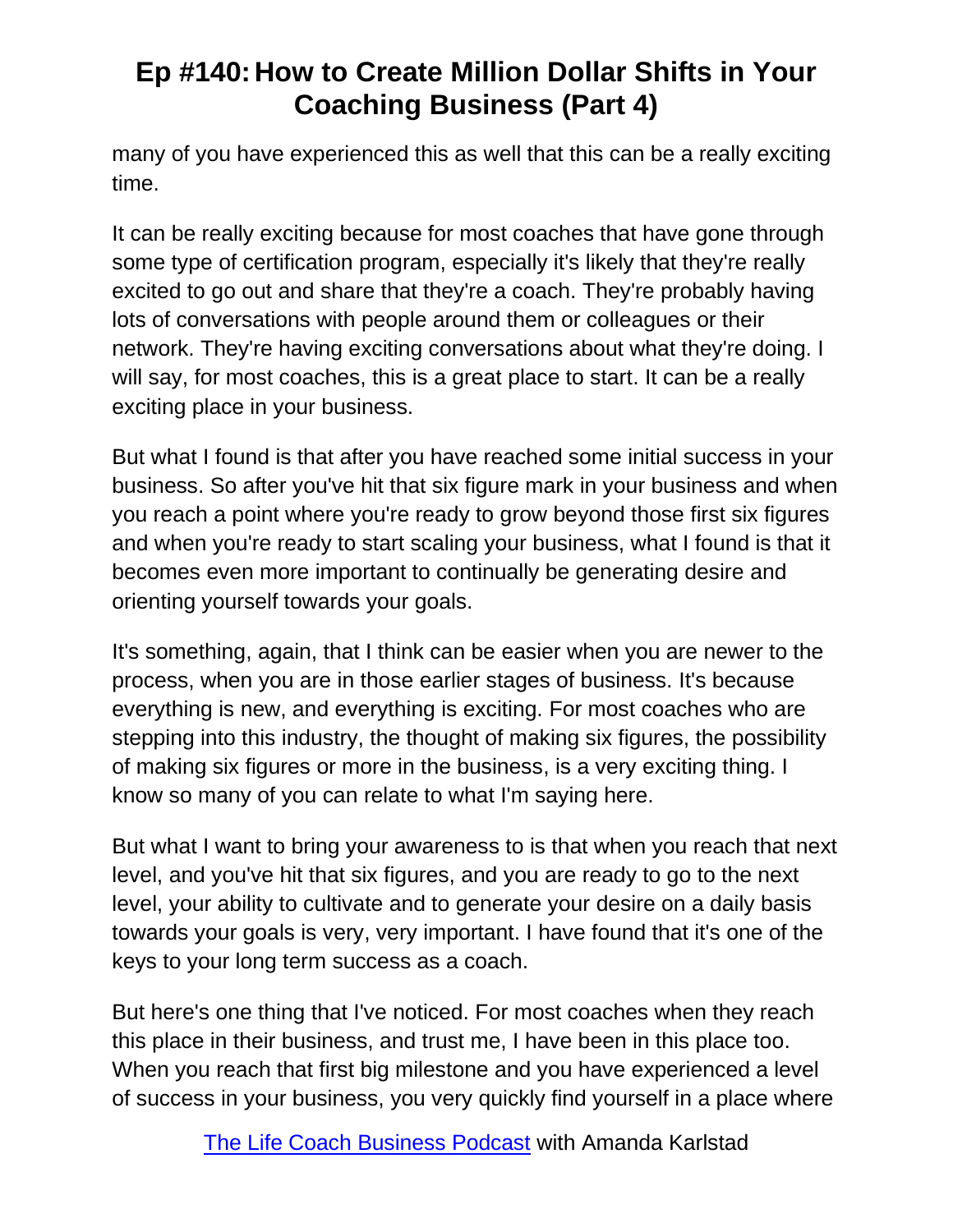many of you have experienced this as well that this can be a really exciting time.

It can be really exciting because for most coaches that have gone through some type of certification program, especially it's likely that they're really excited to go out and share that they're a coach. They're probably having lots of conversations with people around them or colleagues or their network. They're having exciting conversations about what they're doing. I will say, for most coaches, this is a great place to start. It can be a really exciting place in your business.

But what I found is that after you have reached some initial success in your business. So after you've hit that six figure mark in your business and when you reach a point where you're ready to grow beyond those first six figures and when you're ready to start scaling your business, what I found is that it becomes even more important to continually be generating desire and orienting yourself towards your goals.

It's something, again, that I think can be easier when you are newer to the process, when you are in those earlier stages of business. It's because everything is new, and everything is exciting. For most coaches who are stepping into this industry, the thought of making six figures, the possibility of making six figures or more in the business, is a very exciting thing. I know so many of you can relate to what I'm saying here.

But what I want to bring your awareness to is that when you reach that next level, and you've hit that six figures, and you are ready to go to the next level, your ability to cultivate and to generate your desire on a daily basis towards your goals is very, very important. I have found that it's one of the keys to your long term success as a coach.

But here's one thing that I've noticed. For most coaches when they reach this place in their business, and trust me, I have been in this place too. When you reach that first big milestone and you have experienced a level of success in your business, you very quickly find yourself in a place where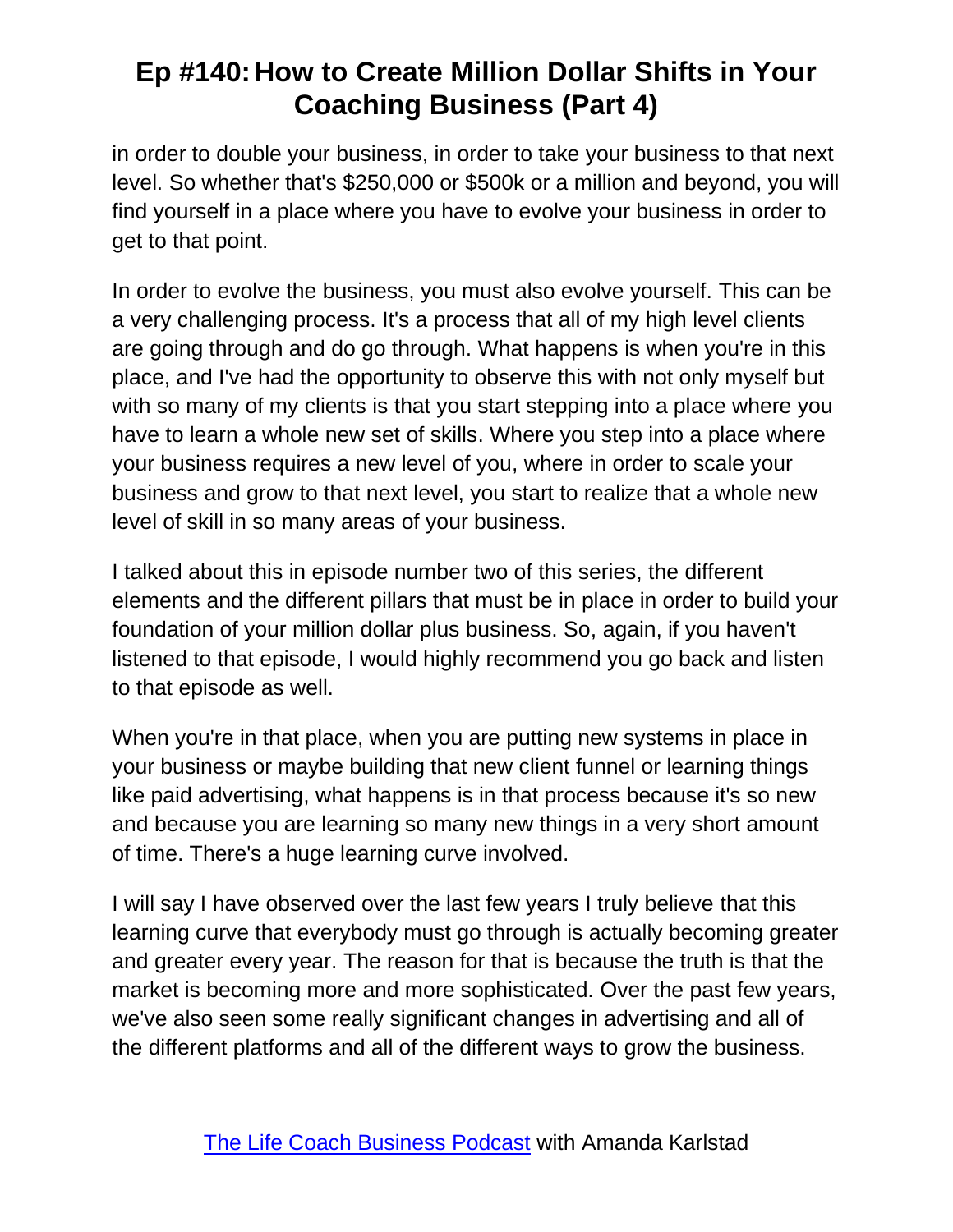in order to double your business, in order to take your business to that next level. So whether that's \$250,000 or \$500k or a million and beyond, you will find yourself in a place where you have to evolve your business in order to get to that point.

In order to evolve the business, you must also evolve yourself. This can be a very challenging process. It's a process that all of my high level clients are going through and do go through. What happens is when you're in this place, and I've had the opportunity to observe this with not only myself but with so many of my clients is that you start stepping into a place where you have to learn a whole new set of skills. Where you step into a place where your business requires a new level of you, where in order to scale your business and grow to that next level, you start to realize that a whole new level of skill in so many areas of your business.

I talked about this in episode number two of this series, the different elements and the different pillars that must be in place in order to build your foundation of your million dollar plus business. So, again, if you haven't listened to that episode, I would highly recommend you go back and listen to that episode as well.

When you're in that place, when you are putting new systems in place in your business or maybe building that new client funnel or learning things like paid advertising, what happens is in that process because it's so new and because you are learning so many new things in a very short amount of time. There's a huge learning curve involved.

I will say I have observed over the last few years I truly believe that this learning curve that everybody must go through is actually becoming greater and greater every year. The reason for that is because the truth is that the market is becoming more and more sophisticated. Over the past few years, we've also seen some really significant changes in advertising and all of the different platforms and all of the different ways to grow the business.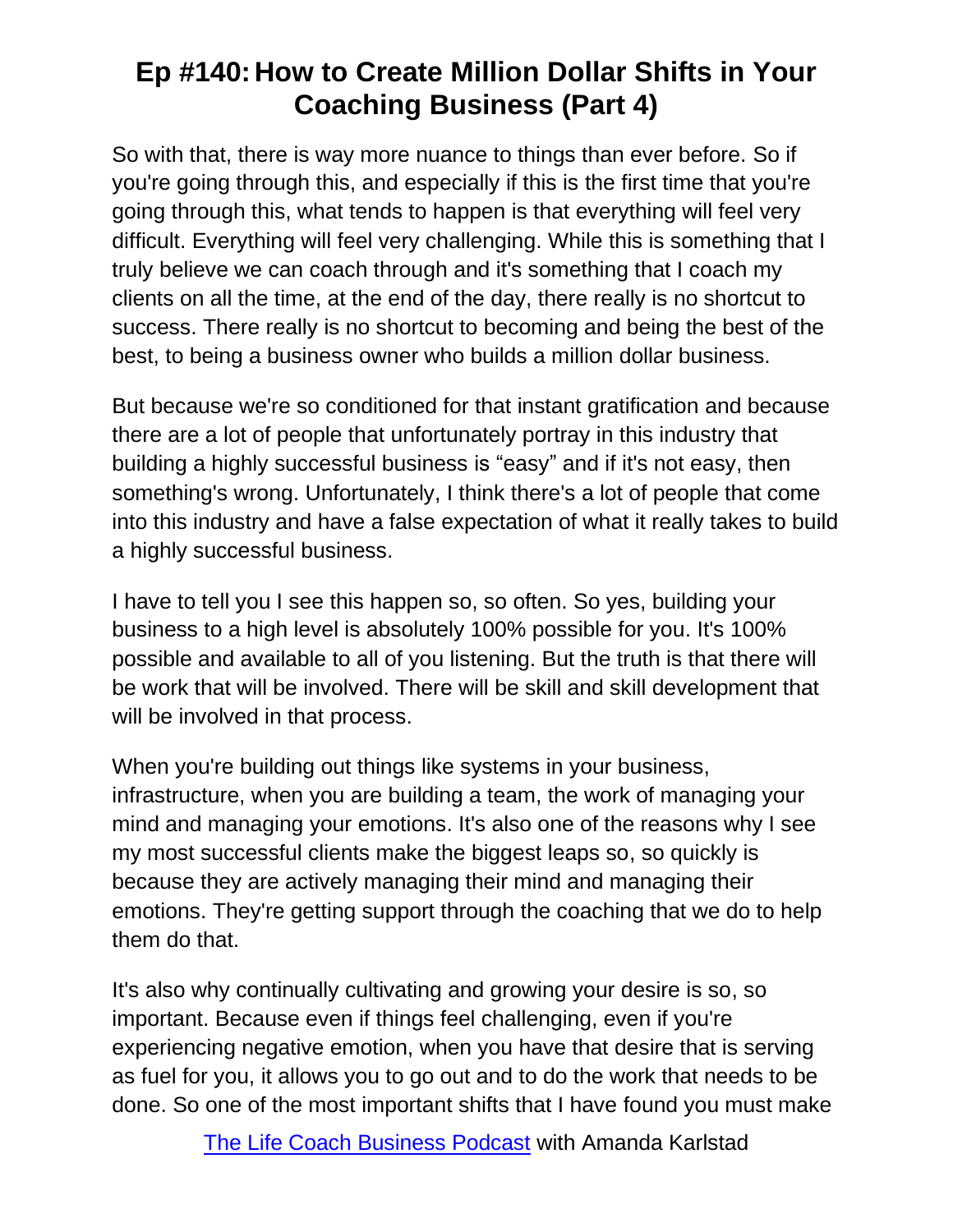So with that, there is way more nuance to things than ever before. So if you're going through this, and especially if this is the first time that you're going through this, what tends to happen is that everything will feel very difficult. Everything will feel very challenging. While this is something that I truly believe we can coach through and it's something that I coach my clients on all the time, at the end of the day, there really is no shortcut to success. There really is no shortcut to becoming and being the best of the best, to being a business owner who builds a million dollar business.

But because we're so conditioned for that instant gratification and because there are a lot of people that unfortunately portray in this industry that building a highly successful business is "easy" and if it's not easy, then something's wrong. Unfortunately, I think there's a lot of people that come into this industry and have a false expectation of what it really takes to build a highly successful business.

I have to tell you I see this happen so, so often. So yes, building your business to a high level is absolutely 100% possible for you. It's 100% possible and available to all of you listening. But the truth is that there will be work that will be involved. There will be skill and skill development that will be involved in that process.

When you're building out things like systems in your business, infrastructure, when you are building a team, the work of managing your mind and managing your emotions. It's also one of the reasons why I see my most successful clients make the biggest leaps so, so quickly is because they are actively managing their mind and managing their emotions. They're getting support through the coaching that we do to help them do that.

It's also why continually cultivating and growing your desire is so, so important. Because even if things feel challenging, even if you're experiencing negative emotion, when you have that desire that is serving as fuel for you, it allows you to go out and to do the work that needs to be done. So one of the most important shifts that I have found you must make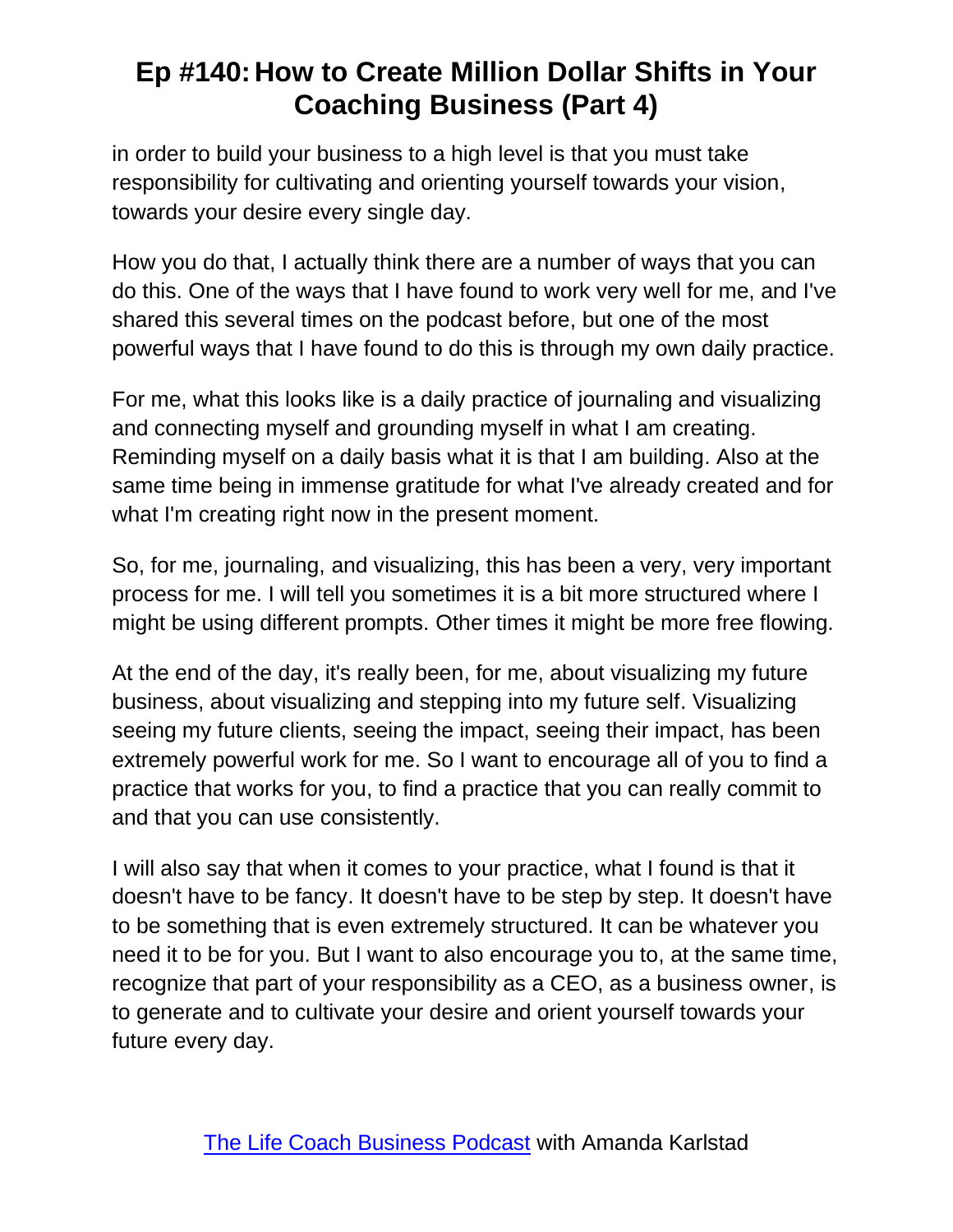in order to build your business to a high level is that you must take responsibility for cultivating and orienting yourself towards your vision, towards your desire every single day.

How you do that, I actually think there are a number of ways that you can do this. One of the ways that I have found to work very well for me, and I've shared this several times on the podcast before, but one of the most powerful ways that I have found to do this is through my own daily practice.

For me, what this looks like is a daily practice of journaling and visualizing and connecting myself and grounding myself in what I am creating. Reminding myself on a daily basis what it is that I am building. Also at the same time being in immense gratitude for what I've already created and for what I'm creating right now in the present moment.

So, for me, journaling, and visualizing, this has been a very, very important process for me. I will tell you sometimes it is a bit more structured where I might be using different prompts. Other times it might be more free flowing.

At the end of the day, it's really been, for me, about visualizing my future business, about visualizing and stepping into my future self. Visualizing seeing my future clients, seeing the impact, seeing their impact, has been extremely powerful work for me. So I want to encourage all of you to find a practice that works for you, to find a practice that you can really commit to and that you can use consistently.

I will also say that when it comes to your practice, what I found is that it doesn't have to be fancy. It doesn't have to be step by step. It doesn't have to be something that is even extremely structured. It can be whatever you need it to be for you. But I want to also encourage you to, at the same time, recognize that part of your responsibility as a CEO, as a business owner, is to generate and to cultivate your desire and orient yourself towards your future every day.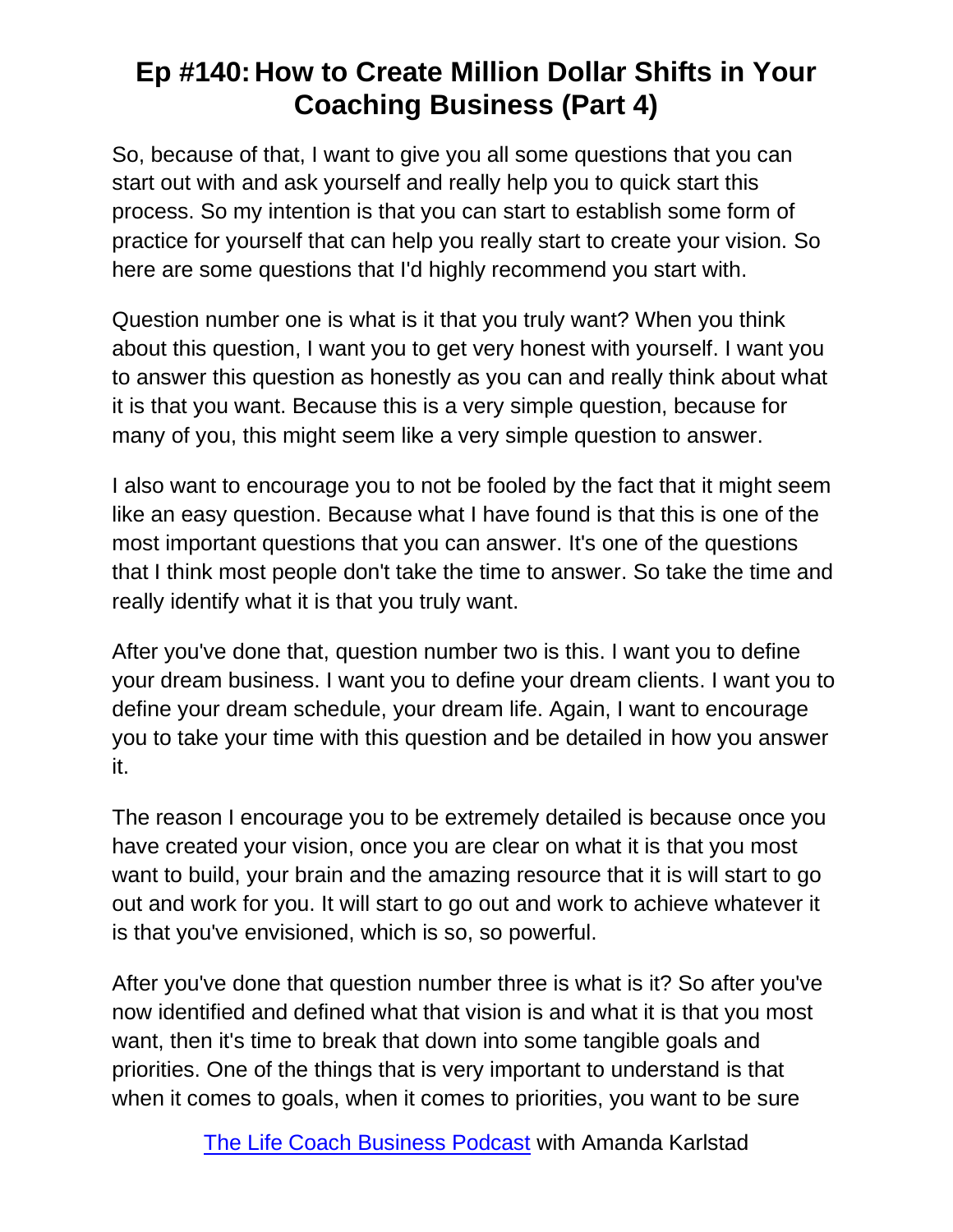So, because of that, I want to give you all some questions that you can start out with and ask yourself and really help you to quick start this process. So my intention is that you can start to establish some form of practice for yourself that can help you really start to create your vision. So here are some questions that I'd highly recommend you start with.

Question number one is what is it that you truly want? When you think about this question, I want you to get very honest with yourself. I want you to answer this question as honestly as you can and really think about what it is that you want. Because this is a very simple question, because for many of you, this might seem like a very simple question to answer.

I also want to encourage you to not be fooled by the fact that it might seem like an easy question. Because what I have found is that this is one of the most important questions that you can answer. It's one of the questions that I think most people don't take the time to answer. So take the time and really identify what it is that you truly want.

After you've done that, question number two is this. I want you to define your dream business. I want you to define your dream clients. I want you to define your dream schedule, your dream life. Again, I want to encourage you to take your time with this question and be detailed in how you answer it.

The reason I encourage you to be extremely detailed is because once you have created your vision, once you are clear on what it is that you most want to build, your brain and the amazing resource that it is will start to go out and work for you. It will start to go out and work to achieve whatever it is that you've envisioned, which is so, so powerful.

After you've done that question number three is what is it? So after you've now identified and defined what that vision is and what it is that you most want, then it's time to break that down into some tangible goals and priorities. One of the things that is very important to understand is that when it comes to goals, when it comes to priorities, you want to be sure